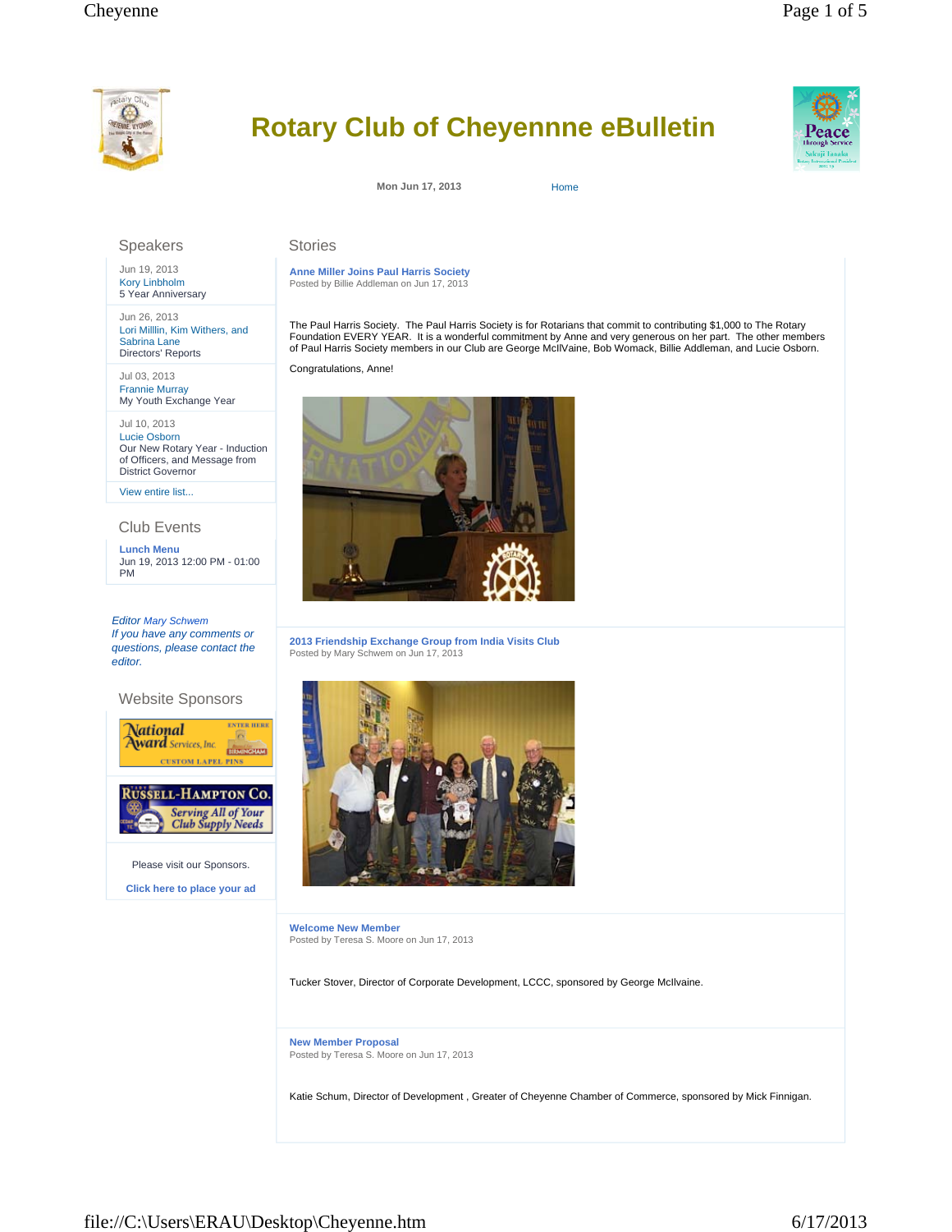

# **Rotary Club of Cheyennne eBulletin**

**Mon Jun 17, 2013** Home

**Anne Miller Joins Paul Harris Society** Posted by Billie Addleman on Jun 17, 2013

Stories

Congratulations, Anne!

The Paul Harris Society. The Paul Harris Society is for Rotarians that commit to contributing \$1,000 to The Rotary Foundation EVERY YEAR. It is a wonderful commitment by Anne and very generous on her part. The other members of Paul Harris Society members in our Club are George McIlVaine, Bob Womack, Billie Addleman, and Lucie Osborn.

## Speakers

Jun 19, 2013 Kory Linbholm 5 Year Anniversary

Jun 26, 2013 Lori Milllin, Kim Withers, and Sabrina Lane Directors' Reports

Jul 03, 2013 Frannie Murray My Youth Exchange Year

Jul 10, 2013 Lucie Osborn Our New Rotary Year - Induction of Officers, and Message from District Governor

View entire list...

#### Club Events

**Lunch Menu** Jun 19, 2013 12:00 PM - 01:00 PM

*Editor Mary Schwem If you have any comments or questions, please contact the editor.* 

### Website Sponsors





Please visit our Sponsors. **Click here to place your ad**

**2013 Friendship Exchange Group from India Visits Club**

Posted by Mary Schwem on Jun 17, 2013

**Welcome New Member** Posted by Teresa S. Moore on Jun 17, 2013

Tucker Stover, Director of Corporate Development, LCCC, sponsored by George McIlvaine.

**New Member Proposal** Posted by Teresa S. Moore on Jun 17, 2013

Katie Schum, Director of Development , Greater of Cheyenne Chamber of Commerce, sponsored by Mick Finnigan.

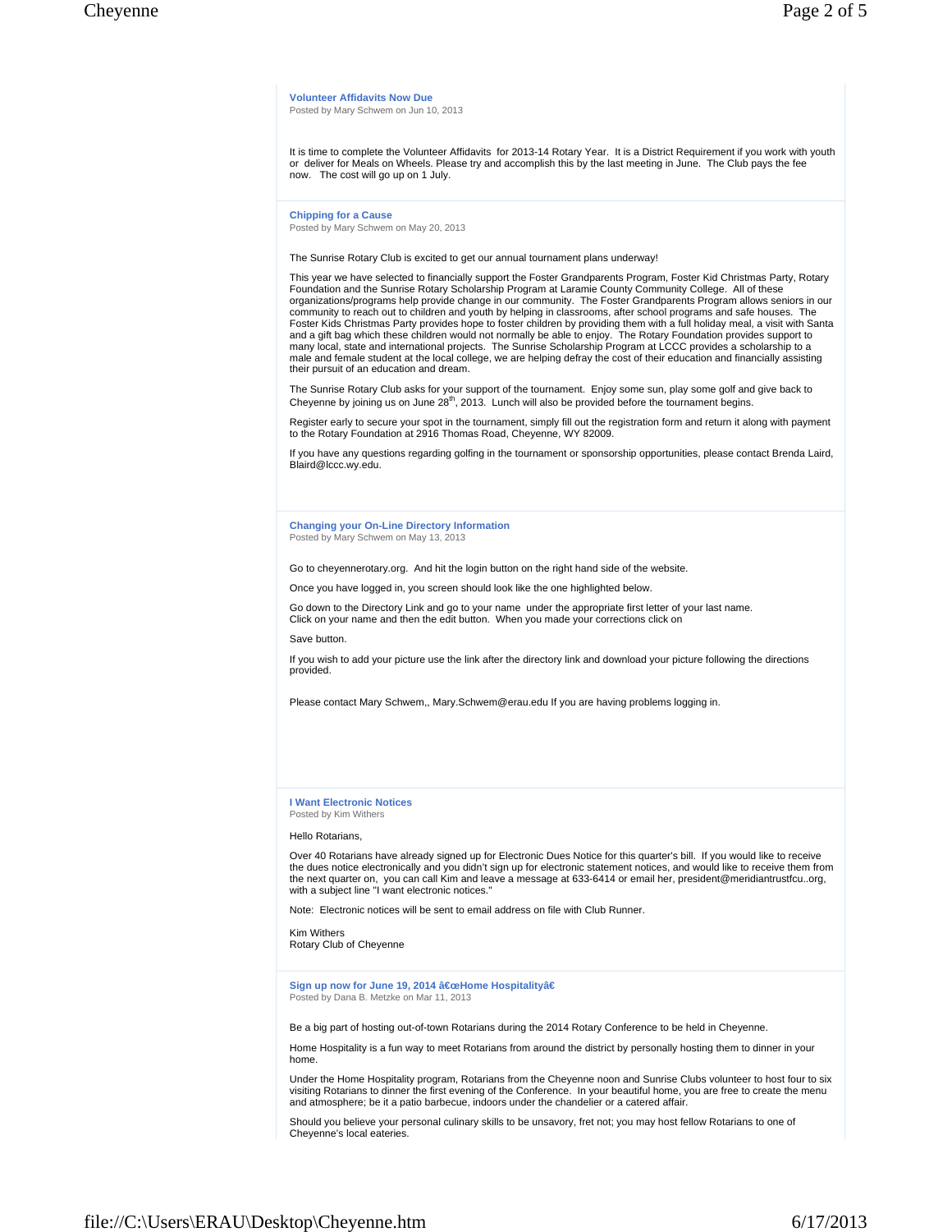**Volunteer Affidavits Now Due** Posted by Mary Schwem on Jun 10, 2013

It is time to complete the Volunteer Affidavits for 2013-14 Rotary Year. It is a District Requirement if you work with youth or deliver for Meals on Wheels. Please try and accomplish this by the last meeting in June. The Club pays the fee now. The cost will go up on 1 July.

**Chipping for a Cause** Posted by Mary Schwem on May 20, 2013

The Sunrise Rotary Club is excited to get our annual tournament plans underway!

This year we have selected to financially support the Foster Grandparents Program, Foster Kid Christmas Party, Rotary Foundation and the Sunrise Rotary Scholarship Program at Laramie County Community College. All of these organizations/programs help provide change in our community. The Foster Grandparents Program allows seniors in our community to reach out to children and youth by helping in classrooms, after school programs and safe houses. The<br>Foster Kids Christmas Party provides hope to foster children by providing them with a full holiday meal, a v male and female student at the local college, we are helping defray the cost of their education and financially assisting their pursuit of an education and dream.

The Sunrise Rotary Club asks for your support of the tournament. Enjoy some sun, play some golf and give back to Cheyenne by joining us on June 28<sup>th</sup>, 2013. Lunch will also be provided before the tournament begins.

Register early to secure your spot in the tournament, simply fill out the registration form and return it along with payment to the Rotary Foundation at 2916 Thomas Road, Cheyenne, WY 82009.

If you have any questions regarding golfing in the tournament or sponsorship opportunities, please contact Brenda Laird, Blaird@lccc.wy.edu.

#### **Changing your On-Line Directory Information** Posted by Mary Schwem on May 13, 2013

Go to cheyennerotary.org. And hit the login button on the right hand side of the website.

Once you have logged in, you screen should look like the one highlighted below.

Go down to the Directory Link and go to your name under the appropriate first letter of your last name. Click on your name and then the edit button. When you made your corrections click on

Save button.

If you wish to add your picture use the link after the directory link and download your picture following the directions provided.

Please contact Mary Schwem,, Mary.Schwem@erau.edu If you are having problems logging in.

**I Want Electronic Notices** Posted by Kim Withers

Hello Rotarians,

Over 40 Rotarians have already signed up for Electronic Dues Notice for this quarter's bill. If you would like to receive the dues notice electronically and you didn't sign up for electronic statement notices, and would like to receive them from the next quarter on, you can call Kim and leave a message at 633-6414 or email her, president@meridiantrustfcu..org, with a subject line "I want electronic notices."

Note: Electronic notices will be sent to email address on file with Club Runner.

Kim Withers Rotary Club of Cheyenne

Sign up now for June 19, 2014 "Home Hospitalityâ€ Posted by Dana B. Metzke on Mar 11, 2013

Be a big part of hosting out-of-town Rotarians during the 2014 Rotary Conference to be held in Cheyenne.

Home Hospitality is a fun way to meet Rotarians from around the district by personally hosting them to dinner in your home.

Under the Home Hospitality program, Rotarians from the Cheyenne noon and Sunrise Clubs volunteer to host four to six visiting Rotarians to dinner the first evening of the Conference. In your beautiful home, you are free to create the menu and atmosphere; be it a patio barbecue, indoors under the chandelier or a catered affair.

Should you believe your personal culinary skills to be unsavory, fret not; you may host fellow Rotarians to one of Cheyenne's local eateries.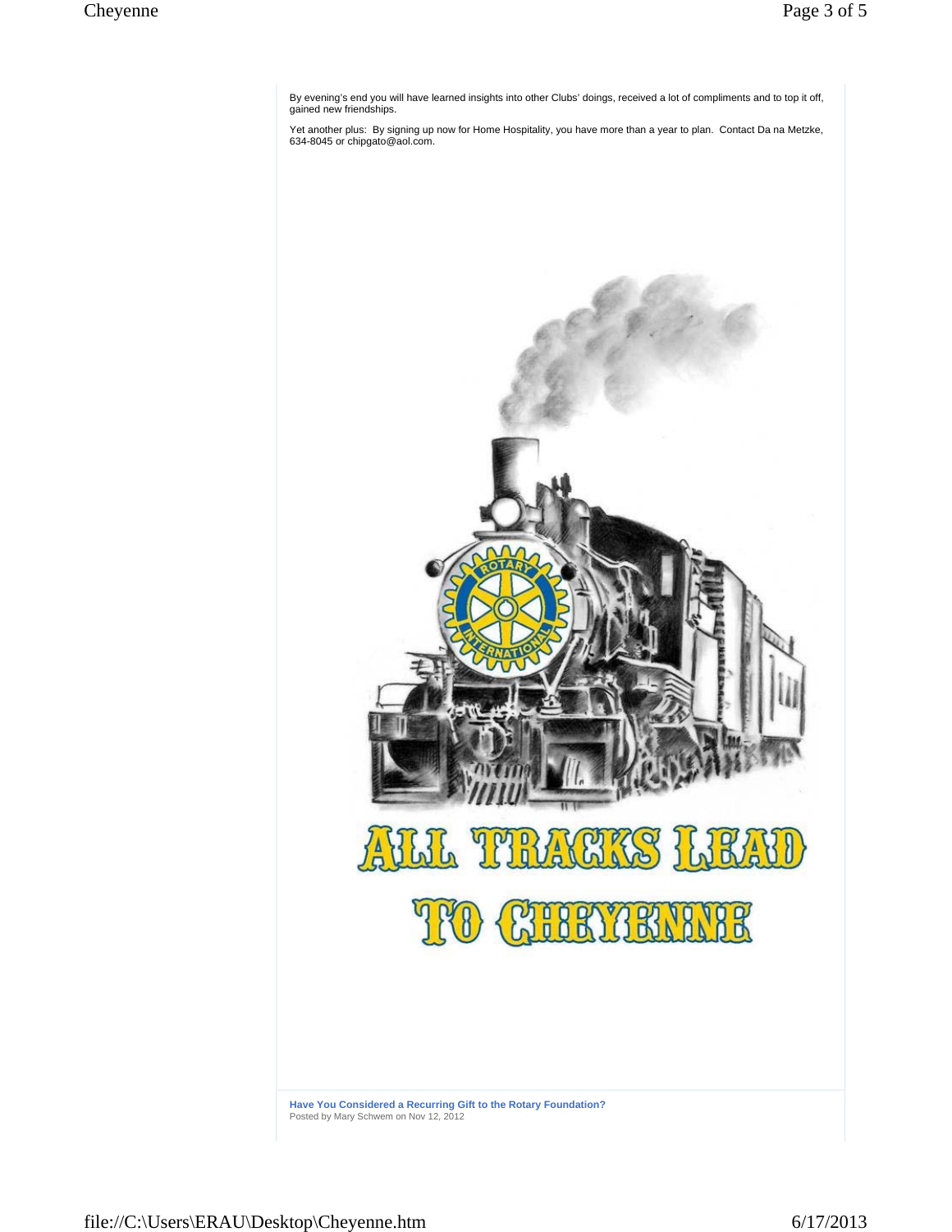By evening's end you will have learned insights into other Clubs' doings, received a lot of compliments and to top it off, gained new friendships.

Yet another plus: By signing up now for Home Hospitality, you have more than a year to plan. Contact Da na Metzke, 634-8045 or chipgato@aol.com.

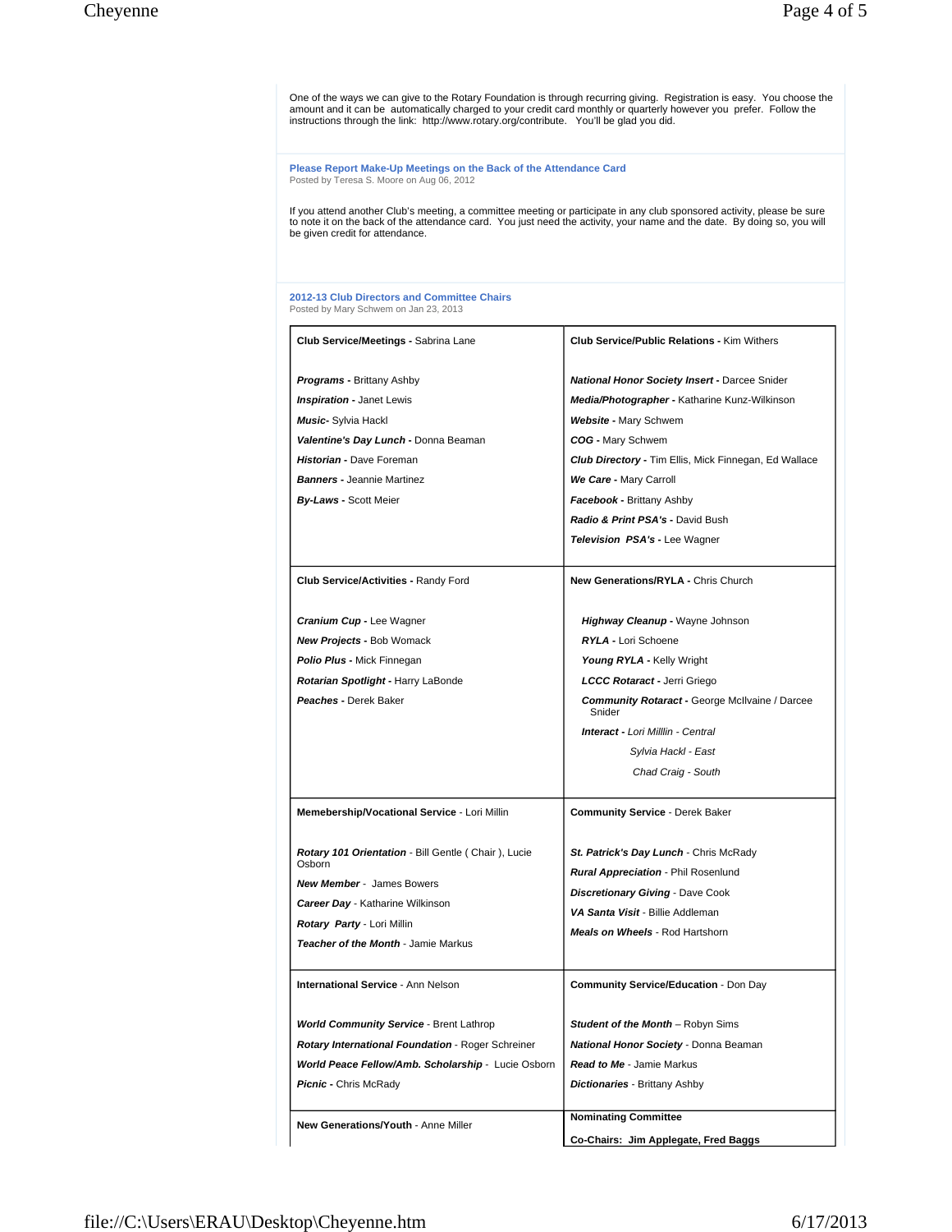One of the ways we can give to the Rotary Foundation is through recurring giving. Registration is easy. You choose the amount and it can be automatically charged to your credit card monthly or quarterly however you prefer. Follow the instructions through the link: http://www.rotary.org/contribute. You'll be glad you did.

**Please Report Make-Up Meetings on the Back of the Attendance Card** Posted by Teresa S. Moore on Aug 06, 2012

If you attend another Club's meeting, a committee meeting or participate in any club sponsored activity, please be sure<br>to note it on the back of the attendance card. You just need the activity, your name and the date. By

#### **2012-13 Club Directors and Committee Chairs** Posted by Mary Schwem on Jan 23, 2013

| Club Service/Meetings - Sabrina Lane                          | <b>Club Service/Public Relations - Kim Withers</b>              |
|---------------------------------------------------------------|-----------------------------------------------------------------|
| <b>Programs - Brittany Ashby</b>                              | <b>National Honor Society Insert - Darcee Snider</b>            |
| <b>Inspiration - Janet Lewis</b>                              | Media/Photographer - Katharine Kunz-Wilkinson                   |
| <b>Music-</b> Sylvia Hackl                                    | Website - Mary Schwem                                           |
| Valentine's Day Lunch - Donna Beaman                          | COG - Mary Schwem                                               |
| Historian - Dave Foreman                                      | <b>Club Directory - Tim Ellis, Mick Finnegan, Ed Wallace</b>    |
| <b>Banners - Jeannie Martinez</b>                             | We Care - Mary Carroll                                          |
| <b>By-Laws - Scott Meier</b>                                  | <b>Facebook - Brittany Ashby</b>                                |
|                                                               | Radio & Print PSA's - David Bush                                |
|                                                               | <b>Television PSA's - Lee Wagner</b>                            |
|                                                               |                                                                 |
| <b>Club Service/Activities - Randy Ford</b>                   | <b>New Generations/RYLA - Chris Church</b>                      |
| <b>Cranium Cup - Lee Wagner</b>                               | Highway Cleanup - Wayne Johnson                                 |
| <b>New Projects - Bob Womack</b>                              | RYLA - Lori Schoene                                             |
| <b>Polio Plus - Mick Finnegan</b>                             | Young RYLA - Kelly Wright                                       |
| Rotarian Spotlight - Harry LaBonde                            | LCCC Rotaract - Jerri Griego                                    |
| Peaches - Derek Baker                                         | <b>Community Rotaract - George McIlvaine / Darcee</b><br>Snider |
|                                                               | <b>Interact - Lori Milllin - Central</b>                        |
|                                                               | Sylvia Hackl - East                                             |
|                                                               | Chad Craig - South                                              |
| Memebership/Vocational Service - Lori Millin                  | <b>Community Service - Derek Baker</b>                          |
| Rotary 101 Orientation - Bill Gentle (Chair), Lucie<br>Osborn | <b>St. Patrick's Day Lunch -</b> Chris McRady                   |
| <b>New Member - James Bowers</b>                              | Rural Appreciation - Phil Rosenlund                             |
| <b>Career Day</b> - Katharine Wilkinson                       | Discretionary Giving - Dave Cook                                |
| Rotary Party - Lori Millin                                    | VA Santa Visit - Billie Addleman                                |
| Teacher of the Month - Jamie Markus                           | <b>Meals on Wheels</b> - Rod Hartshorn                          |
|                                                               |                                                                 |
| <b>International Service - Ann Nelson</b>                     | <b>Community Service/Education - Don Day</b>                    |
| <b>World Community Service -</b> Brent Lathrop                | <b>Student of the Month –</b> Robyn Sims                        |
| <b>Rotary International Foundation - Roger Schreiner</b>      | National Honor Society - Donna Beaman                           |
| World Peace Fellow/Amb. Scholarship - Lucie Osborn            | <b>Read to Me - Jamie Markus</b>                                |
| <b>Picnic - Chris McRady</b>                                  | Dictionaries - Brittany Ashby                                   |
| New Generations/Youth - Anne Miller                           | <b>Nominating Committee</b>                                     |
|                                                               | Co-Chairs: Jim Applegate, Fred Baggs                            |